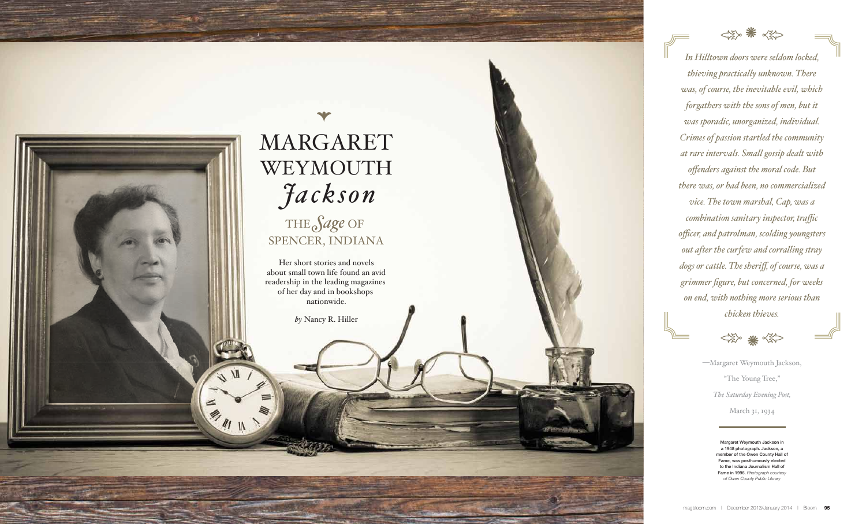

**94** Bloom

| December 2013/January 2014

# $\rightarrow$ MARGARET  *Jackson* WEYMOUTH THE *Sage* OF SPENCER, INDIANA

Her short stories and novels about small town life found an avid readership in the leading magazines of her day and in bookshops nationwide.

*by* Nancy R. Hiller

E.M. IL



*In Hilltown doors were seldom locked, thieving practically unknown. There was, of course, the inevitable evil, which forgathers with the sons of men, but it was sporadic, unorganized, individual. Crimes of passion startled the community at rare intervals. Small gossip dealt with offenders against the moral code. But there was, or had been, no commercialized vice. The town marshal, Cap, was a combination sanitary inspector, traffic officer, and patrolman, scolding youngsters out after the curfew and corralling stray dogs or cattle. The sheriff, of course, was a grimmer figure, but concerned, for weeks on end, with nothing more serious than chicken thieves.*



—Margaret Weymouth Jackson, "The Young Tree," *The Saturday Evening Post,*  March 31, 1934

> Margaret Weymouth Jackson in a 1948 photograph. Jackson, a member of the Owen County Hall of Fame, was posthumously elected to the Indiana Journalism Hall of Fame in 1996. *Photograph courtesy of Owen County Public Library*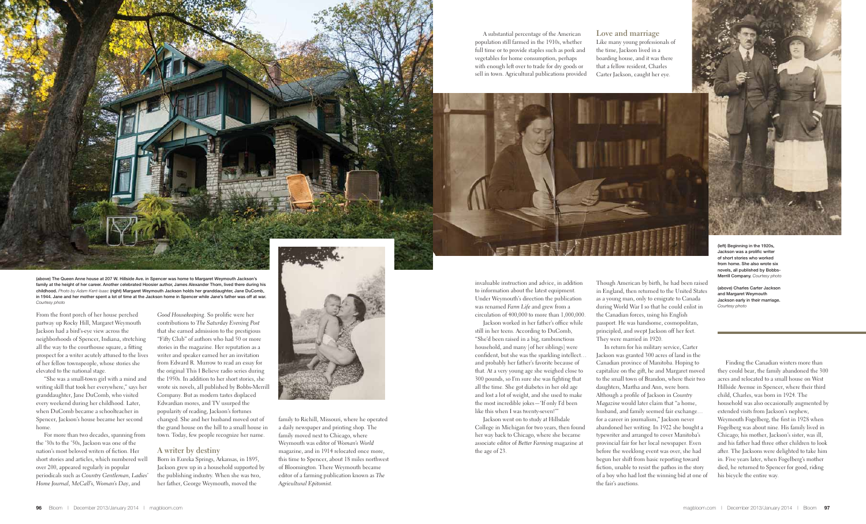From the front porch of her house perched partway up Rocky Hill, Margaret Weymouth Jackson had a bird's-eye view across the neighborhoods of Spencer, Indiana, stretching all the way to the courthouse square, a fitting prospect for a writer acutely attuned to the lives of her fellow townspeople, whose stories she elevated to the national stage.

"She was a small-town girl with a mind and writing skill that took her everywhere," says her granddaughter, Jane DuComb, who visited every weekend during her childhood. Later, when DuComb became a schoolteacher in Spencer, Jackson's house became her second home.

For more than two decades, spanning from the '30s to the '50s, Jackson was one of the nation's most beloved writers of fiction. Her short stories and articles, which numbered well over 200, appeared regularly in popular periodicals such as *Country Gentleman, Ladies' Home Journal, McCall's, Woman's Day*, and

*Good Housekeeping*. So prolific were her contributions to *The Saturday Evening Post*  that she earned admission to the prestigious "Fifty Club" of authors who had 50 or more stories in the magazine. Her reputation as a writer and speaker earned her an invitation from Edward R. Murrow to read an essay for the original This I Believe radio series during the 1950s. In addition to her short stories, she wrote six novels, all published by Bobbs-Merrill Company. But as modern tastes displaced Edwardian mores, and TV usurped the popularity of reading, Jackson's fortunes changed. She and her husband moved out of the grand house on the hill to a small house in town. Today, few people recognize her name.

### **A writer by destiny**

Born in Eureka Springs, Arkansas, in 1895, Jackson grew up in a household supported by the publishing industry. When she was two, her father, George Weymouth, moved the



family to Richill, Missouri, where he operated a daily newspaper and printing shop. The family moved next to Chicago, where Weymouth was editor of *Woman's World* magazine, and in 1914 relocated once more, this time to Spencer, about 18 miles northwest of Bloomington. There Weymouth became editor of a farming publication known as *The Agricultural Epitomist.*

invaluable instruction and advice, in addition to information about the latest equipment. Under Weymouth's direction the publication was renamed *Farm Life* and grew from a circulation of 400,000 to more than 1,000,000.

Jackson worked in her father's office while still in her teens. According to DuComb, "She'd been raised in a big, rambunctious household, and many [of her siblings] were confident, but she was the sparkling intellect… and probably her father's favorite because of that. At a very young age she weighed close to 300 pounds, so I'm sure she was fighting that all the time. She got diabetes in her old age and lost a lot of weight, and she used to make the most incredible jokes—'If only I'd been like this when I was twenty-seven!'"

Jackson went on to study at Hillsdale College in Michigan for two years, then found her way back to Chicago, where she became associate editor of *Better Farming* magazine at the age of 23.

Though American by birth, he had been raised in England, then returned to the United States as a young man, only to emigrate to Canada during World War I so that he could enlist in the Canadian forces, using his English passport. He was handsome, cosmopolitan, principled, and swept Jackson off her feet. They were married in 1920.





In return for his military service, Carter Jackson was granted 300 acres of land in the Canadian province of Manitoba. Hoping to capitalize on the gift, he and Margaret moved to the small town of Brandon, where their two daughters, Martha and Ann, were born. Although a profile of Jackson in *Country Magazine* would later claim that "a home, husband, and family seemed fair exchange… for a career in journalism," Jackson never abandoned her writing. In 1922 she bought a typewriter and arranged to cover Manitoba's provincial fair for her local newspaper. Even before the weeklong event was over, she had begun her shift from basic reporting toward fiction, unable to resist the pathos in the story of a boy who had lost the winning bid at one of the fair's auctions.

Finding the Canadian winters more than they could bear, the family abandoned the 300 acres and relocated to a small house on West Hillside Avenue in Spencer, where their third child, Charles, was born in 1924. The household was also occasionally augmented by extended visits from Jackson's nephew, Weymouth Fogelberg, the first in 1928 when Fogelberg was about nine. His family lived in Chicago; his mother, Jackson's sister, was ill, and his father had three other children to look after. The Jacksons were delighted to take him in. Five years later, when Fogelberg's mother died, he returned to Spencer for good, riding his bicycle the entire way.

(above) The Queen Anne house at 207 W. Hillside Ave. in Spencer was home to Margaret Weymouth Jackson's family at the height of her career. Another celebrated Hoosier author, James Alexander Thom, lived there during his childhood. *Photo by Adam Kent-Isaac* (right) Margaret Weymouth Jackson holds her granddaughter, Jane DuComb, in 1944. Jane and her mother spent a lot of time at the Jackson home in Spencer while Jane's father was off at war. *Courtesy photo*

of short stories who worked from home. She also wrote six novels, all published by Bobbs-Merrill Company. *Courtesy photo*

(above) Charles Carter Jackson and Margaret Weymouth Jackson early in their marriage. *Courtesy photo*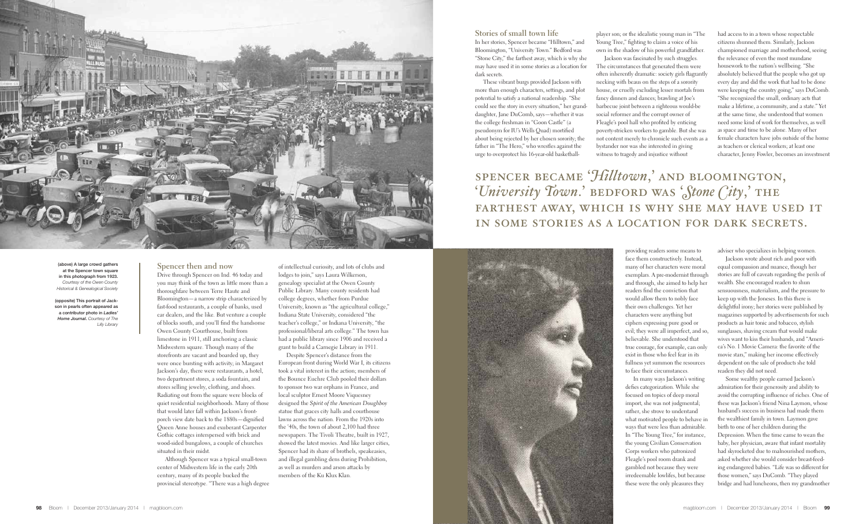

### **Spencer then and now** Drive through Spencer on Ind. 46 today and

you may think of the town as little more than a thoroughfare between Terre Haute and Bloomington—a narrow strip characterized by fast-food restaurants, a couple of banks, used car dealers, and the like. But venture a couple of blocks south, and you'll find the handsome Owen County Courthouse, built from limestone in 1911, still anchoring a classic Midwestern square. Though many of the storefronts are vacant and boarded up, they were once bursting with activity; in Margaret Jackson's day, there were restaurants, a hotel, two department stores, a soda fountain, and stores selling jewelry, clothing, and shoes. Radiating out from the square were blocks of quiet residential neighborhoods. Many of those that would later fall within Jackson's frontporch view date back to the 1880s—dignified Queen Anne houses and exuberant Carpenter Gothic cottages interspersed with brick and wood-sided bungalows, a couple of churches situated in their midst.

Although Spencer was a typical small-town center of Midwestern life in the early 20th century, many of its people bucked the provincial stereotype. "There was a high degree of intellectual curiosity, and lots of clubs and lodges to join," says Laura Wilkerson, genealogy specialist at the Owen County Public Library. Many county residents had college degrees, whether from Purdue University, known as "the agricultural college," Indiana State University, considered "the teacher's college," or Indiana University, "the professional/liberal arts college." The town has had a public library since 1906 and received a grant to build a Carnegie Library in 1911.

Despite Spencer's distance from the European front during World War I, its citizens took a vital interest in the action; members of the Bounce Euchre Club pooled their dollars to sponsor two war orphans in France, and local sculptor Ernest Moore Viquesney designed the *Spirit of the American Doughboy*  statue that graces city halls and courthouse lawns across the nation. From the 1920s into the '40s, the town of about 2,100 had three newspapers. The Tivoli Theatre, built in 1927, showed the latest movies. And like larger cities, Spencer had its share of brothels, speakeasies, and illegal gambling dens during Prohibition, as well as murders and arson attacks by members of the Ku Klux Klan.

**Stories of small town life** In her stories, Spencer became "Hilltown," and Bloomington, "University Town." Bedford was "Stone City," the farthest away, which is why she may have used it in some stories as a location for dark secrets.

These vibrant burgs provided Jackson with more than enough characters, settings, and plot potential to satisfy a national readership. "She could see the story in every situation," her granddaughter, Jane DuComb, says—whether it was the college freshman in "Goon Castle" (a pseudonym for IU's Wells Quad) mortified about being rejected by her chosen sorority; the father in "The Hero," who wrestles against the urge to overprotect his 16-year-old basketball-

player son; or the idealistic young man in "The Young Tree," fighting to claim a voice of his own in the shadow of his powerful grandfather.

Jackson was fascinated by such struggles. The circumstances that generated them were often inherently dramatic: society girls flagrantly necking with beaus on the steps of a sorority house, or cruelly excluding lesser mortals from fancy dinners and dances; brawling at Joe's barbecue joint between a righteous would-be social reformer and the corrupt owner of Fleagle's pool hall who profited by enticing poverty-stricken workers to gamble. But she was not content merely to chronicle such events as a bystander nor was she interested in giving witness to tragedy and injustice without

> providing readers some means to face them constructively. Instead, many of her characters were moral exemplars. A pre-modernist through and through, she aimed to help her readers find the conviction that would allow them to nobly face their own challenges. Yet her characters were anything but ciphers expressing pure good or evil; they were all imperfect, and so, believable. She understood that true courage, for example, can only exist in those who feel fear in its fullness yet summon the resources to face their circumstances.

In many ways Jackson's writing defies categorization. While she focused on topics of deep moral import, she was not judgmental; rather, she strove to understand what motivated people to behave in ways that were less than admirable. In "The Young Tree," for instance, the young Civilian Conservation Corps workers who patronized Fleagle's pool room drank and gambled not because they were irredeemable lowlifes, but because these were the only pleasures they

had access to in a town whose respectable citizens shunned them. Similarly, Jackson championed marriage and motherhood, seeing the relevance of even the most mundane housework to the nation's wellbeing. "She absolutely believed that the people who got up every day and did the work that had to be done were keeping the country going," says DuComb. "She recognized the small, ordinary acts that make a lifetime, a community, and a state." Yet at the same time, she understood that women need some kind of work for themselves, as well as space and time to be alone. Many of her female characters have jobs outside of the home as teachers or clerical workers; at least one character, Jenny Fowler, becomes an investment

adviser who specializes in helping women.

Jackson wrote about rich and poor with equal compassion and nuance, though her stories are full of caveats regarding the perils of wealth. She encouraged readers to shun sensuousness, materialism, and the pressure to keep up with the Joneses. In this there is delightful irony; her stories were published by magazines supported by advertisements for such products as hair tonic and tobacco, stylish sunglasses, shaving cream that would make wives want to kiss their husbands, and "America's No. 1 Movie Camera: the favorite of the movie stars," making her income effectively dependent on the sale of products she told readers they did not need.

Some wealthy people earned Jackson's admiration for their generosity and ability to avoid the corrupting influence of riches. One of these was Jackson's friend Nina Laymon, whose husband's success in business had made them the wealthiest family in town. Laymon gave birth to one of her children during the Depression. When the time came to wean the baby, her physician, aware that infant mortality had skyrocketed due to malnourished mothers, asked whether she would consider breast-feeding endangered babies. "Life was so different for those women," says DuComb. "They played bridge and had luncheons, then my grandmother

## spencer became '*Hilltown*,' and bloomington, '*University Town*.' BEDFORD WAS 'Stone City,' THE farthest away, which is why she may have used it in some stories as a location for dark secrets.





(above) A large crowd gathers at the Spencer town square in this photograph from 1923. *Courtesy of the Owen County Historical & Genealogical Society*

(opposite) This portrait of Jackson in pearls often appeared as a contributor photo in *Ladies' Home Journal*. *Courtesy of The Lilly Library*